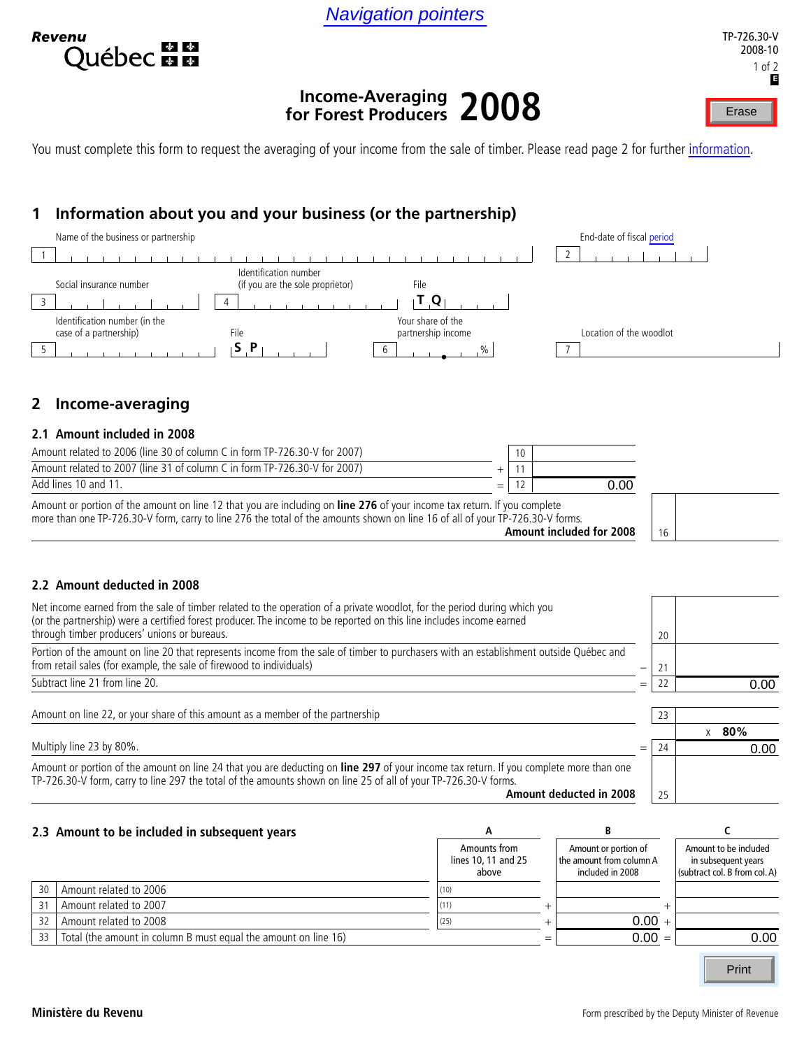Navigation pointers



# **Income-Averaging for Forest Producers 2008** Navigation pointers<br>
IP-726.<br>
Income-Averaging 2008

You must complete this form to request the averaging of your income from the sale of timber. Please read page 2 for further *information*.

# **1 Information about you and your business (or the partnership)**



# **2 Income-averaging**

#### **2.1 Amount included in 2008**

| Amount related to 2006 (line 30 of column C in form TP-726.30-V for 2007) |     |      |  |
|---------------------------------------------------------------------------|-----|------|--|
| Amount related to 2007 (line 31 of column C in form TP-726.30-V for 2007) |     |      |  |
| Add lines 10 and 11.                                                      | $=$ | ა.იი |  |
| $- - -$<br>$\mathbf{r}$ and $\mathbf{r}$                                  |     |      |  |

Amount or portion of the amount on line 12 that you are including on **line 276** of your income tax return. If you complete more than one TP-726.30-V form, carry to line 276 the total of the amounts shown on line 16 of all of your TP-726.30-V forms. **Amount included for 2008**



#### **2.2 Amount deducted in 2008**

| Net income earned from the sale of timber related to the operation of a private woodlot, for the period during which you<br>(or the partnership) were a certified forest producer. The income to be reported on this line includes income earned<br>through timber producers' unions or bureaus. |     | 20 |          |
|--------------------------------------------------------------------------------------------------------------------------------------------------------------------------------------------------------------------------------------------------------------------------------------------------|-----|----|----------|
| Portion of the amount on line 20 that represents income from the sale of timber to purchasers with an establishment outside Québec and<br>from retail sales (for example, the sale of firewood to individuals)                                                                                   |     |    |          |
| Subtract line 21 from line 20.                                                                                                                                                                                                                                                                   | $=$ |    | 0.00     |
| Amount on line 22, or your share of this amount as a member of the partnership                                                                                                                                                                                                                   |     | 23 |          |
|                                                                                                                                                                                                                                                                                                  |     |    | 80%<br>X |
| Multiply line 23 by 80%.                                                                                                                                                                                                                                                                         | $=$ |    | 0.00     |
| Amount or portion of the amount on line 24 that you are deducting on line 297 of your income tax return. If you complete more than one<br>TP-726.30-V form, carry to line 297 the total of the amounts shown on line 25 of all of your TP-726.30-V forms.                                        |     |    |          |
| Amount deducted in 2008                                                                                                                                                                                                                                                                          |     | 25 |          |

|    | 2.3 Amount to be included in subsequent years                   |                                              |     |                                                                      |                                                                               |
|----|-----------------------------------------------------------------|----------------------------------------------|-----|----------------------------------------------------------------------|-------------------------------------------------------------------------------|
|    |                                                                 | Amounts from<br>lines 10, 11 and 25<br>above |     | Amount or portion of<br>the amount from column A<br>included in 2008 | Amount to be included<br>in subsequent years<br>(subtract col. B from col. A) |
| 30 | Amount related to 2006                                          | (10)                                         |     |                                                                      |                                                                               |
| 31 | Amount related to 2007                                          |                                              |     |                                                                      |                                                                               |
| 32 | Amount related to 2008                                          | (25)                                         |     | $0.00 +$                                                             |                                                                               |
| 33 | Total (the amount in column B must equal the amount on line 16) |                                              | $=$ | $0.00 =$                                                             | 0.00                                                                          |
|    |                                                                 |                                              |     |                                                                      | Print                                                                         |